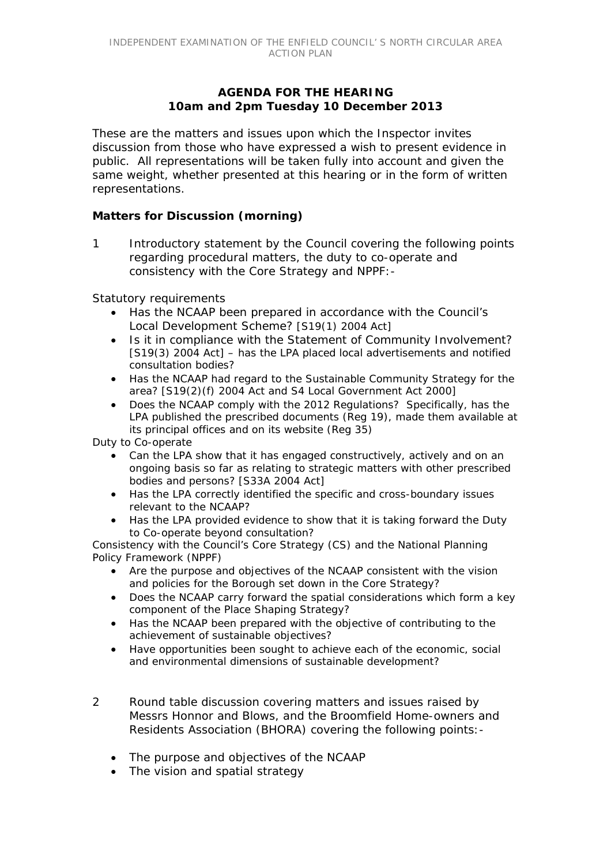## **AGENDA FOR THE HEARING 10am and 2pm Tuesday 10 December 2013**

*These are the matters and issues upon which the Inspector invites discussion from those who have expressed a wish to present evidence in public. All representations will be taken fully into account and given the same weight, whether presented at this hearing or in the form of written representations.*

## **Matters for Discussion (morning)**

1 Introductory statement by the Council covering the following points regarding procedural matters, the duty to co-operate and consistency with the Core Strategy and NPPF:-

#### *Statutory requirements*

- Has the NCAAP been prepared in accordance with the Council's Local Development Scheme? [S19(1) 2004 Act]
- Is it in compliance with the Statement of Community Involvement? [S19(3) 2004 Act] – has the LPA placed local advertisements and notified consultation bodies?
- Has the NCAAP had regard to the Sustainable Community Strategy for the area? [S19(2)(f) 2004 Act and S4 Local Government Act 2000]
- Does the NCAAP comply with the 2012 Regulations? Specifically, has the LPA published the prescribed documents (Reg 19), made them available at its principal offices and on its website (Reg 35)

*Duty to Co-operate*

- Can the LPA show that it has engaged constructively, actively and on an ongoing basis so far as relating to strategic matters with other prescribed bodies and persons? [S33A 2004 Act]
- Has the LPA correctly identified the specific and cross-boundary issues relevant to the NCAAP?
- Has the LPA provided evidence to show that it is taking forward the Duty to Co-operate beyond consultation?

*Consistency with the Council's Core Strategy (CS) and the National Planning Policy Framework (NPPF)*

- Are the purpose and objectives of the NCAAP consistent with the vision and policies for the Borough set down in the Core Strategy?
- Does the NCAAP carry forward the spatial considerations which form a key component of the Place Shaping Strategy?
- Has the NCAAP been prepared with the objective of contributing to the achievement of sustainable objectives?
- Have opportunities been sought to achieve each of the economic, social and environmental dimensions of sustainable development?
- 2 Round table discussion covering matters and issues raised by Messrs Honnor and Blows, and the Broomfield Home-owners and Residents Association (BHORA) covering the following points:-
	- The purpose and objectives of the NCAAP
	- The vision and spatial strategy